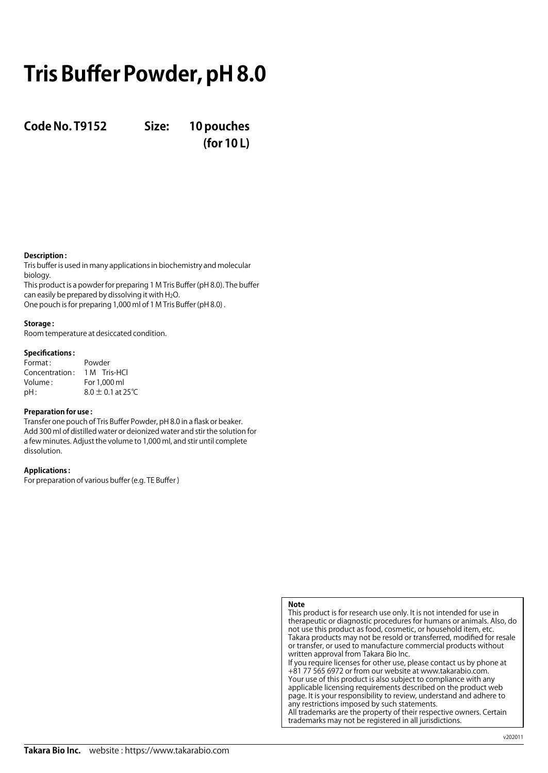# **Tris Buffer Powder, pH 8.0**

**Code No. T9152 Size: 10 pouches**

**(for 10 L)**

## **Description :**

Tris buffer is used in many applications in biochemistry and molecular biology.

This product is a powder for preparing 1 M Tris Buffer (pH 8.0). The buffer can easily be prepared by dissolving it with  $H_2O$ . One pouch is for preparing 1,000 ml of 1 M Tris Buffer (pH 8.0) .

### **Storage :**

Room temperature at desiccated condition.

### **Specifications :**

| Format:        | Powder                |
|----------------|-----------------------|
| Concentration: | 1 M Tris-HCl          |
| Volume:        | For 1.000 ml          |
| pH:            | $8.0 \pm 0.1$ at 25°C |

### **Preparation for use :**

Transfer one pouch of Tris Buffer Powder, pH 8.0 in a flask or beaker. Add 300 ml of distilled water or deionized water and stir the solution for a few minutes. Adjust the volume to 1,000 ml, and stir until complete dissolution.

### **Applications :**

For preparation of various buffer (e.g. TE Buffer )

## **Note**

This product is for research use only. It is not intended for use in therapeutic or diagnostic procedures for humans or animals. Also, do not use this product as food, cosmetic, or household item, etc. Takara products may not be resold or transferred, modified for resale or transfer, or used to manufacture commercial products without written approval from Takara Bio Inc. If you require licenses for other use, please contact us by phone at +81 77 565 6972 or from our website at www.takarabio.com.

Your use of this product is also subject to compliance with any applicable licensing requirements described on the product web page. It is your responsibility to review, understand and adhere to any restrictions imposed by such statements. All trademarks are the property of their respective owners. Certain

trademarks may not be registered in all jurisdictions.